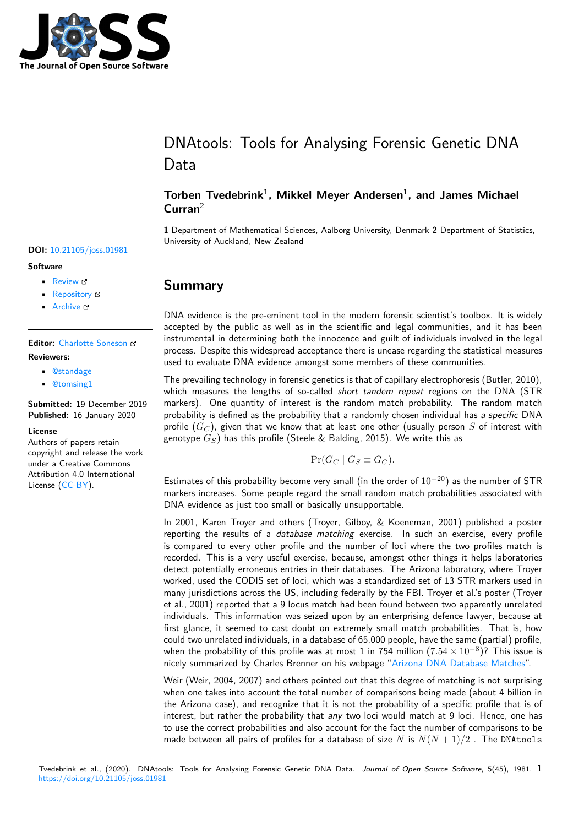

# DNAtools: Tools for Analysing Forensic Genetic DNA Data

### **Torben Tvedebrink**<sup>1</sup> **, Mikkel Meyer Andersen**<sup>1</sup> **, and James Michael Curran**<sup>2</sup>

**1** Department of Mathematical Sciences, Aalborg University, Denmark **2** Department of Statistics, University of Auckland, New Zealand

## **Summary**

DNA evidence is the pre-eminent tool in the modern forensic scientist's toolbox. It is widely accepted by the public as well as in the scientific and legal communities, and it has been instrumental in determining both the innocence and guilt of individuals involved in the legal process. Despite this widespread acceptance there is unease regarding the statistical measures used to evaluate DNA evidence amongst some members of these communities.

The prevailing technology in forensic genetics is that of capillary electrophoresis (Butler, 2010), which measures the lengths of so-called *short tandem repeat* regions on the DNA (STR markers). One quantity of interest is the random match probability. The random match probability is defined as the probability that a randomly chosen individual has *a specific* DNA profile (*G<sup>C</sup>* ), given that we know that at least one other (usually person *S* of interest with genotype *GS*) has this profile (Steele & Balding, 2015). We write this as

$$
\Pr(G_C \mid G_S \equiv G_C).
$$

Estimates of this probability become very small (in the order of 10*−*20) as the number of STR markers increases. Some people regard the small random match probabilities associated with DNA evidence as just too small or basically unsupportable.

In 2001, Karen Troyer and others (Troyer, Gilboy, & Koeneman, 2001) published a poster reporting the results of a *database matching* exercise. In such an exercise, every profile is compared to every other profile and the number of loci where the two profiles match is recorded. This is a very useful exercise, because, amongst other things it helps laboratories detect potentially erroneous entries in their databases. The Arizona laboratory, where Troyer worked, used the CODIS set of loci, which was a standardized set of 13 STR markers used in many jurisdictions across the US, including federally by the FBI. Troyer et al.'s poster (Troyer et al., 2001) reported that a 9 locus match had been found between two apparently unrelated individuals. This information was seized upon by an enterprising defence lawyer, because at first glance, it seemed to cast doubt on extremely small match probabilities. That is, how could two unrelated individuals, in a database of 65,000 people, have the same (partial) profile, when the probability of this profile was at most 1 in 754 million (7*.*<sup>54</sup> *<sup>×</sup>* <sup>10</sup>*−*<sup>8</sup> )? This issue is nicely summarized by Charles Brenner on his webpage "Arizona DNA Database Matches".

Weir (Weir, 2004, 2007) and others pointed out that this degree of matching is not surprising when one takes into account the total number of comparisons being made (about 4 billion in the Arizona case), and recognize that it is not the probability of a specific profile that is of interest, but rather the probability that *any* two loci w[ould match at 9 loci. Hence, one](http://dna-view.com/ArizonaMatch.htm) has to use the correct probabilities and also account for the fact the number of comparisons to be made between all pairs of profiles for a database of size *N* is  $N(N+1)/2$ . The DNAtools

## **DOI:** 10.21105/joss.01981

## **Software**

- Review &
- [Repository](https://doi.org/10.21105/joss.01981) &
- Archive

**Editor:** [Charlotte](https://github.com/mikldk/DNAtools) Soneson **Revie[wers:](https://doi.org/10.5281/zenodo.3609584)**

- @standage
	- @[tomsing1](http://csoneson.github.io/)

**Submitted:** 19 December 2019 **Published:** [16 Ja](https://github.com/standage)nuary 2020

#### **Licen[se](https://github.com/tomsing1)**

Authors of papers retain copyright and release the work under a Creative Commons Attribution 4.0 International License (CC-BY).